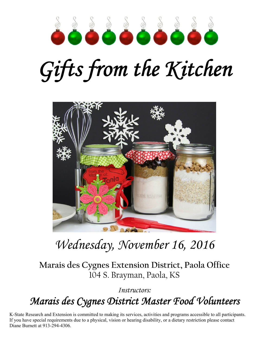

# *Gifts from the Kitchen*



## *Wednesday, November 16, 2016*

**Marais des Cygnes Extension District, Paola Office**  104 S. Brayman, Paola, KS

*Instructors:* 

*Marais des Cygnes District Master Food Volunteers* 

K-State Research and Extension is committed to making its services, activities and programs accessible to all participants. If you have special requirements due to a physical, vision or hearing disability, or a dietary restriction please contact Diane Burnett at 913-294-4306.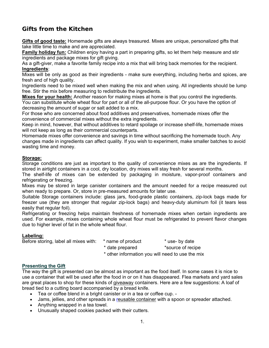### **Gifts from the Kitchen**

**Gifts of good taste:** Homemade gifts are always treasured. Mixes are unique, personalized gifts that take little time to make and are appreciated.

**Family holiday fun:** Children enjoy having a part in preparing gifts, so let them help measure and stir ingredients and package mixes for gift giving.

As a gift-giver, make a favorite family recipe into a mix that will bring back memories for the recipient. **Ingredients**:

Mixes will be only as good as their ingredients - make sure everything, including herbs and spices, are fresh and of high quality.

Ingredients need to be mixed well when making the mix and when using. All ingredients should be lump free. Stir the mix before measuring to redistribute the ingredients.

**Mixes for your health:** Another reason for making mixes at home is that you control the ingredients. You can substitute whole wheat flour for part or all of the all-purpose flour. Or you have the option of decreasing the amount of sugar or salt added to a mix.

For those who are concerned about food additives and preservatives, homemade mixes offer the convenience of commercial mixes without the extra ingredients.

Keep in mind, however, that without additives to retard spoilage or increase shelf-life, homemade mixes will not keep as long as their commercial counterparts.

Homemade mixes offer convenience and savings in time without sacrificing the homemade touch. Any changes made in ingredients can affect quality. If you wish to experiment, make smaller batches to avoid wasting time and money.

#### **Storage:**

Storage conditions are just as important to the quality of convenience mixes as are the ingredients. If stored in airtight containers in a cool, dry location, dry mixes will stay fresh for several months.

The shelf-life of mixes can be extended by packaging in moisture, vapor-proof containers and refrigerating or freezing.

Mixes may be stored in large canister containers and the amount needed for a recipe measured out when ready to prepare. Or, store in pre-measured amounts for later use.

Suitable Storage containers include: glass jars, food-grade plastic containers, zip-lock bags made for freezer use (they are stronger that regular zip-lock bags) and heavy-duty aluminum foil (it tears less easily that regular foil).

Refrigerating or freezing helps maintain freshness of homemade mixes when certain ingredients are used. For example, mixes containing whole wheat flour must be refrigerated to prevent flavor changes due to higher level of fat in the whole wheat flour.

#### **Labeling:**

Before storing, label all mixes with: \* name of product \* use- by date \* date prepared \*source of recipe \* other information you will need to use the mix

#### **Presenting the Gift**

The way the gift is presented can be almost as important as the food itself. In some cases it is nice to use a container that will be used after the food in or on it has disappeared. Flea markets and yard sales are great places to shop for these kinds of giveaway containers. Here are a few suggestions: A loaf of bread tied to a cutting board accompanied by a bread knife.

- Tea or coffee blend in a bright canister or in a tea or coffee cup. -
- Jams, jellies, and other spreads in a reusable container with a spoon or spreader attached.
- Anything wrapped in a tea towel.
- Unusually shaped cookies packed with their cutters.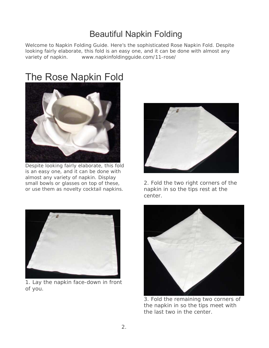## Beautiful Napkin Folding

Welcome to Napkin Folding Guide. Here's the sophisticated Rose Napkin Fold. Despite looking fairly elaborate, this fold is an easy one, and it can be done with almost any variety of napkin. www.napkinfoldingguide.com/11-rose/

## The Rose Napkin Fold



Despite looking fairly elaborate, this fold is an easy one, and it can be done with almost any variety of napkin. Display small bowls or glasses on top of these, or use them as novelty cocktail napkins.



1. Lay the napkin face-down in front of you.



2. Fold the two right corners of the napkin in so the tips rest at the center.



3. Fold the remaining two corners of the napkin in so the tips meet with the last two in the center.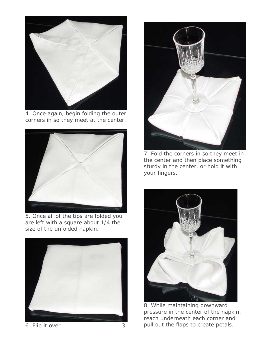

4. Once again, begin folding the outer corners in so they meet at the center.



5. Once all of the tips are folded you are left with a square about 1/4 the size of the unfolded napkin.



6. Flip it over. 3.



7. Fold the corners in so they meet in the center and then place something sturdy in the center, or hold it with your fingers.



8. While maintaining downward pressure in the center of the napkin, reach underneath each corner and pull out the flaps to create petals.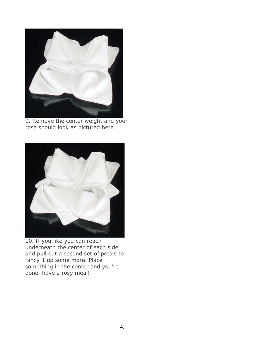

9. Remove the center weight and your rose should look as pictured here.



10. If you like you can reach underneath the center of each side and pull out a second set of petals to fancy it up some more. Place something in the center and you're done, have a rosy meal!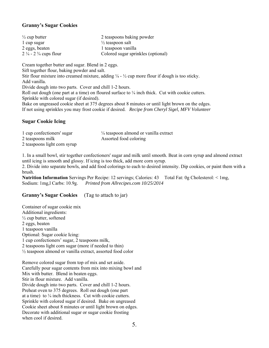#### **Granny's Sugar Cookies**

| $\frac{1}{2}$ cup butter                    | 2 teaspoons baking powder          |
|---------------------------------------------|------------------------------------|
| 1 cup sugar                                 | $\frac{1}{2}$ teaspoon salt        |
| 2 eggs, beaten                              | 1 teaspoon vanilla                 |
| $2\frac{1}{4}$ - 2 $\frac{3}{4}$ cups flour | Colored sugar sprinkles (optional) |

Cream together butter and sugar. Blend in 2 eggs. Sift together flour, baking powder and salt. Stir flour mixture into creamed mixture, adding  $\frac{1}{4}$  -  $\frac{1}{2}$  cup more flour if dough is too sticky. Add vanilla. Divide dough into two parts. Cover and chill 1-2 hours. Roll out dough (one part at a time) on floured surface to  $\frac{1}{4}$  inch thick. Cut with cookie cutters. Sprinkle with colored sugar (if desired). Bake on ungreased cookie sheet at 375 degrees about 8 minutes or until light brown on the edges. If not using sprinkles you may frost cookie if desired. *Recipe from Cheryl Sigel, MFV Volunteer*

#### **Sugar Cookie Icing**

| 1 cup confectioners' sugar   | $\frac{1}{4}$ teaspoon almond or vanilla extract |
|------------------------------|--------------------------------------------------|
| 2 teaspoons milk             | Assorted food coloring                           |
| 2 teaspoons light corn syrup |                                                  |

1. In a small bowl, stir together confectioners' sugar and milk until smooth. Beat in corn syrup and almond extract until icing is smooth and glossy. If icing is too thick, add more corn syrup.

2. Divide into separate bowls, and add food colorings to each to desired intensity. Dip cookies, or paint them with a brush.

**Nutrition Information** Servings Per Recipe: 12 servings; Calories: 43 Total Fat: 0g Cholesterol: < 1mg, Sodium: 1mg,l Carbs: 10.9g. *Printed from Allrecipes.com 10/25/2014* 

#### **Granny's Sugar Cookies** (Tag to attach to jar)

Container of sugar cookie mix Additional ingredients:  $\frac{1}{2}$  cup butter, softened 2 eggs, beaten 1 teaspoon vanilla Optional: Sugar cookie Icing: 1 cup confectioners' sugar, 2 teaspoons milk, 2 teaspoons light corn sugar (more if needed to thin) ½ teaspoon almond or vanilla extract, assorted food color

Remove colored sugar from top of mix and set aside. Carefully pour sugar contents from mix into mixing bowl and Mix with butter. Blend in beaten eggs. Stir in flour mixture. Add vanilla. Divide dough into two parts. Cover and chill 1-2 hours. Preheat oven to 375 degrees. Roll out dough (one part at a time) to  $\frac{1}{4}$  inch thickness. Cut with cookie cutters. Sprinkle with colored sugar if desired. Bake on ungreased Cookie sheet about 8 minutes or until light brown on edges. Decorate with additional sugar or sugar cookie frosting when cool if desired.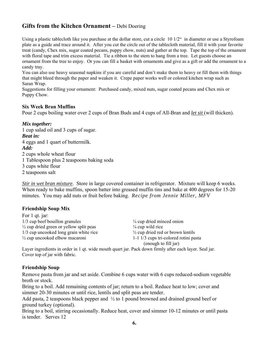#### **Gifts from the Kitchen Ornament –** Debi Doering

Using a plastic tablecloth like you purchase at the dollar store, cut a circle 10 1/2" in diameter or use a Styrofoam plate as a guide and trace around it. After you cut the circle out of the tablecloth material, fill it with your favorite treat (candy, Chex mix, sugar coated pecans, puppy chow, nuts) and gather at the top. Tape the top of the ornament with floral tape and trim excess material. Tie a ribbon to the stem to hang from a tree. Let guests choose an ornament from the tree to enjoy. Or you can fill a basket with ornaments and give as a gift or add the ornament to a candy tray.

You can also use heavy seasonal napkins if you are careful and don't make them to heavy or fill them with things that might bleed through the paper and weaken it. Crepe paper works well or colored kitchen wrap such as Saran Wrap.

Suggestions for filling your ornament: Purchased candy, mixed nuts, sugar coated pecans and Chex mix or Puppy Chow.

#### **Six Week Bran Muffins**

Pour 2 cups boiling water over 2 cups of Bran Buds and 4 cups of All-Bran and *let sit* (will thicken).

#### *Mix together:*

1 cup salad oil and 3 cups of sugar. *Beat in:*  4 eggs and 1 quart of buttermilk. *Add:*  2 cups whole wheat flour 1 Tablespoon plus 2 teaspoons baking soda 3 cups white flour 2 teaspoons salt

*Stir in wet bran mixture*. Store in large covered container in refrigerator. Mixture will keep 6 weeks. When ready to bake muffins, spoon batter into greased muffin tins and bake at 400 degrees for 15-20 minutes. You may add nuts or fruit before baking. *Recipe from Jennie Miller, MFV*

#### **Friendship Soup Mix**

 $\mathbf{F} = \mathbf{1}$  and  $\mathbf{f} = \mathbf{f}$ 

| FOT 1 QL 1ar:                                      |                                              |
|----------------------------------------------------|----------------------------------------------|
| 1/3 cup beef bouillon granules                     | $\frac{1}{4}$ cup dried minced onion         |
| $\frac{1}{2}$ cup dried green or yellow split peas | $\frac{1}{4}$ cup wild rice                  |
| 1/3 cup uncooked long grain white rice             | $\frac{1}{2}$ cup dried red or brown lentils |
| $\frac{1}{2}$ cup uncooked elbow macaroni          | 1-1 1/3 cups tri-colored rotini pasta        |
|                                                    | (enough to fill jar)                         |

Layer ingredients in order in 1 qt. wide mouth quart jar. Pack down firmly after each layer. Seal jar. Cover top of jar with fabric.

#### **Friendship Soup**

Remove pasta from jar and set aside. Combine 6 cups water with 6 cups reduced-sodium vegetable broth or stock.

Bring to a boil. Add remaining contents of jar; return to a boil. Reduce heat to low; cover and simmer 20-30 minutes or until rice, lentils and split peas are tender.

Add pasta, 2 teaspoons black pepper and  $\frac{1}{2}$  to 1 pound browned and drained ground beef or ground turkey (optional).

Bring to a boil, stirring occasionally. Reduce heat, cover and simmer 10-12 minutes or until pasta is tender. Serves 12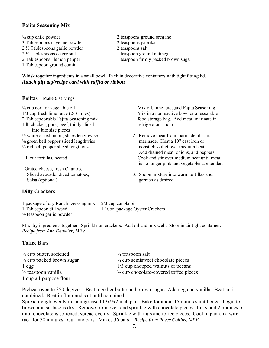#### **Fajita Seasoning Mix**

- $\frac{1}{2}$  cup chile powder 2 teaspoons ground oregano 3 Tablespoons cayenne powder 2 teaspoons paprika 2 ½ Tablespoons garlic powder 2 teaspoons salt 2 <sup>1</sup>/<sub>2</sub> Tablespoons celery salt 1 teaspoon ground nutmeg 1 Tablespoon ground cumin
- 2 Tablespoons lemon pepper 1 teaspoon firmly packed brown sugar

Whisk together ingredients in a small bowl. Pack in decorative containers with tight fitting lid. *Attach gift tag/recipe card with raffia or ribbon* 

#### **Fajitas** Make 6 servings

| $\frac{1}{4}$ cup corn or vegetable oil<br>$1/3$ cup fresh lime juice $(2-3$ limes) | 1. Mix oil, lime juice, and Fajita Seasoning<br>Mix in a nonreactive bowl or a resealable |
|-------------------------------------------------------------------------------------|-------------------------------------------------------------------------------------------|
| 2 Tablespoonsbls Fajita Seasoning mix                                               | food storage bag. Add meat, marinate in                                                   |
| 1 lb chicken, pork, beef, thinly sliced                                             | refrigerator 1 hour.                                                                      |
| Into bite size pieces                                                               |                                                                                           |
| $\frac{1}{2}$ white or red onion, slices lengthwise                                 | 2. Remove meat from marinade; discard                                                     |
| $\frac{1}{2}$ green bell pepper sliced lengthwise                                   | marinade. Heat a 10" cast iron or                                                         |
| $\frac{1}{2}$ red bell pepper sliced lengthwise                                     | nonstick skillet over medium heat.                                                        |
|                                                                                     | Add drained meat, onions, and peppers.                                                    |
| Flour tortillas, heated                                                             | Cook and stir over medium heat until meat                                                 |
|                                                                                     | is no longer pink and vegetables are tender.                                              |
| Grated cheese, fresh Cilantro,                                                      |                                                                                           |
| Sliced avocado, diced tomatoes,                                                     | 3. Spoon mixture into warm tortillas and                                                  |
| Salsa (optional)                                                                    | garnish as desired.                                                                       |

#### **Dilly Crackers**

| 1 package of dry Ranch Dressing mix 2/3 cup canola oil |                                 |
|--------------------------------------------------------|---------------------------------|
| 1 Tablespoon dill weed                                 | 1 10oz. package Oyster Crackers |
| $\frac{1}{2}$ teaspoon garlic powder                   |                                 |

Mix dry ingredients together. Sprinkle on crackers. Add oil and mix well. Store in air tight container. *Recipe from Ann Detwiler, MFV* 

#### **Toffee Bars**

| $\frac{1}{2}$ cup butter, softened   |
|--------------------------------------|
| $\frac{3}{4}$ cup packed brown sugar |
| $1$ egg                              |
| $\frac{1}{2}$ teaspoon vanilla       |
| 1 cup all-purpose flour              |

 $\frac{1}{4}$  teaspoon salt  $\frac{3}{4}$  cup semisweet chocolate pieces  $1/3$  cup chopped walnuts or pecans  $\frac{1}{2}$  cup chocolate-covered toffee pieces

Preheat oven to 350 degrees. Beat together butter and brown sugar. Add egg and vanilla. Beat until combined. Beat in flour and salt until combined.

Spread dough evenly in an ungreased 13x9x2 inch pan. Bake for about 15 minutes until edges begin to brown and surface is dry. Remove from oven and sprinkle with chocolate pieces. Let stand 2 minutes or until chocolate is softened; spread evenly. Sprinkle with nuts and toffee pieces. Cool in pan on a wire rack for 30 minutes. Cut into bars. Makes 36 bars. *Recipe from Royce Collins, MFV*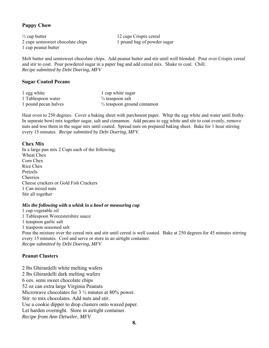#### **Puppy Chow**

 $\frac{1}{2}$  cup butter 12 cups Crispix cereal 2 cups semisweet chocolate chips 1 pound bag of powder sugar 1 cup peanut butter

Melt butter and semisweet chocolate chips. Add peanut butter and stir until well blended. Pour over Crispix cereal and stir to coat. Pour powdered sugar in a paper bag and add cereal mix. Shake to coat. Chill. *Recipe submitted by Debi Doering, MFV*

#### **Sugar Coated Pecans**

| 1 egg white          | 1 cup white sugar                      |
|----------------------|----------------------------------------|
| 1 Tablespoon water   | $\frac{3}{4}$ teaspoon salt            |
| 1 pound pecan halves | $\frac{1}{2}$ teaspoon ground cinnamon |

Heat oven to 250 degrees. Cover a baking sheet with parchment paper. Whip the egg white and water until frothy. In separate bowl mix together sugar, salt and cinnamon. Add pecans to egg white and stir to coat evenly, remove nuts and toss them in the sugar mix until coated. Spread nuts on prepared baking sheet. Bake for 1 hour stirring every 15 minutes. *Recipe submitted by Debi Doering, MFV.* 

#### **Chex Mix**

In a large pan mix 2 Cups each of the following; Wheat Chex Corn Chex Rice Chex Pretzels Cheerios Cheese crackers or Gold Fish Crackers 1 Can mixed nuts Stir all together

#### *Mix the following with a whisk in a bowl or measuring cup*

1 cup vegetable oil 1 Tablespoon Worcestershire sauce 1 teaspoon garlic salt 1 teaspoon seasoned salt Pour the mixture over the cereal mix and stir until cereal is well coated. Bake at 250 degrees for 45 minutes stirring every 15 minutes. Cool and serve or store in an airtight container. *Recipe submitted by Debi Doering, MFV* 

#### **Peanut Clusters**

2 lbs Ghirardelli white melting wafers 2 lbs Ghirardelli dark melting wafers 6 ozs. semi sweet chocolate chips 52 oz can extra large Virginia Peanuts Microwave chocolates for 3  $\frac{1}{2}$  mnutes at 80% power. Stir to mix chocolates. Add nuts and stir. Use a cookie dipper to drop clusters onto waxed paper. Let harden overnight. Store in airtight container. *Recipe from Ann Detwiler, MFV*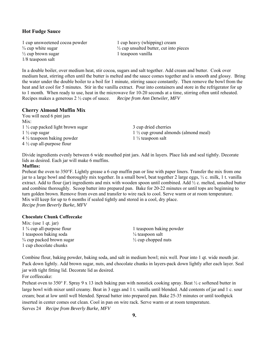#### **Hot Fudge Sauce**

1 cup unsweetened cocoa powder 1 cup heavy (whipping) cream  $\frac{1}{2}$  cup brown sugar 1 teaspoon vanilla 1/8 teaspoon salt

 $\frac{3}{4}$  cup white sugar  $\frac{1}{2}$  cup unsalted butter, cut into pieces

In a double boiler, over medium heat, stir cocoa, sugars and salt together. Add cream and butter. Cook over medium heat, stirring often until the butter is melted and the sauce comes together and is smooth and glossy. Bring the water under the double boiler to a boil for 1 minute, stirring sauce constantly. Then remove the bowl from the heat and let cool for 5 minutes. Stir in the vanilla extract. Pour into containers and store in the refrigerator for up to 1 month. When ready to use, heat in the microwave for 10-20 seconds at a time, stirring often until reheated. Recipes makes a generous 2 ½ cups of sauce. *Recipe from Ann Detwiler, MFV*

#### **Cherry Almond Muffin Mix**

You will need 6 pint jars Mix:  $1\frac{1}{2}$  cup packed light brown sugar 3 cup dried cherries  $4\frac{1}{2}$  teaspoon baking powder 1  $\frac{1}{2}$  teaspoon salt 4 ½ cup all-purpose flour

 $1 \frac{1}{2}$  cup sugar 1  $\frac{1}{2}$  cup ground almonds (almond meal)

Divide ingredients evenly between 6 wide mouthed pint jars. Add in layers. Place lids and seal tightly. Decorate lids as desired. Each jar will make 6 muffins.

#### **Muffins:**

Preheat the oven to 350°F. Lightly grease a 6 cup muffin pan or line with paper liners. Transfer the mix from one jar to a large bowl and thoroughly mix together. In a small bowl, beat together 2 large eggs, ½ c. milk, 1 t. vanilla extract. Add to flour (jar) ingredients and mix with wooden spoon until combined. Add  $\frac{1}{2}$  c. melted, unsalted butter and combine thoroughly. Scoop batter into prepared pan. Bake for 20-22 minutes or until tops are beginning to turn golden brown. Remove from oven and transfer to wire rack to cool. Serve warm or at room temperature. Mix will keep for up to 6 months if sealed tightly and stored in a cool, dry place. *Recipe from Beverly Burke, MFV* 

#### **Chocolate Chunk Coffeecake**

Mix: (use 1 qt. jar) 1 <sup>3</sup>/<sub>4</sub> cup all-purpose flour 1 teaspoon baking powder 1 teaspoon baking soda <sup>1/4</sup> teaspoon salt  $\frac{3}{4}$  cup packed brown sugar  $\frac{1}{2}$  cup chopped nuts 1 cup chocolate chunks

Combine flour, baking powder, baking soda, and salt in medium bowl; mix well. Pour into 1 qt. wide mouth jar. Pack down lightly. Add brown sugar, nuts, and chocolate chunks in layers-pack down lightly after each layer. Seal jar with tight fitting lid. Decorate lid as desired.

For coffeecake:

Preheat oven to 350° F. Spray 9 x 13 inch baking pan with nonstick cooking spray. Beat  $\frac{1}{2}$  c softened butter in large bowl with mixer until creamy. Beat in 3 eggs and 1 t. vanilla until blended. Add contents of jar and 1 c. sour cream; beat at low until well blended. Spread batter into prepared pan. Bake 25-35 minutes or until toothpick inserted in center comes out clean. Cool in pan on wire rack. Serve warm or at room temperature. Serves 24 *Recipe from Beverly Burke, MFV*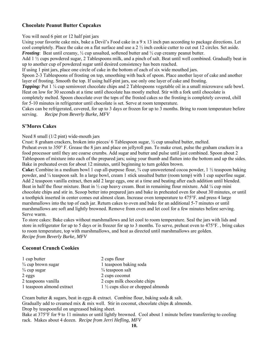#### **Chocolate Peanut Butter Cupcakes**

You will need 6 pint or 12 half pint jars

Using your favorite cake mix, bake a Devil's Food cake in a 9 x 13 inch pan according to package directions. Let cool completely. Place the cake on a flat surface and use a 2 ½ inch cookie cutter to cut out 12 circles. Set aside. *Frosting*: Beat until creamy,  $\frac{1}{2}$  cup unsalted, softened butter and  $\frac{1}{2}$  cup creamy peanut butter.

Add 1 ½ cups powdered sugar, 2 Tablespoons milk, and a pinch of salt. Beat until well combined. Gradually beat in up to another cup of powdered sugar until desired consistency has been reached.

If using 1 pint jars, place one circle of cake in the bottom of each of six wide mouthed jars.

Spoon 2-3 Tablespoons of frosting on top, smoothing with back of spoon. Place another layer of cake and another layer of frosting. Smooth the top. If using half-pint jars, use only one layer of cake and frosting.

*Topping:* Put 1 ¼ cup semisweet chocolate chips and 2 Tablespoons vegetable oil in a small microwave safe bowl. Heat on low for 30 seconds at a time until chocolate has mostly melted. Stir with a fork until chocolate is

completely melted. Spoon chocolate over the tops of the frosted cakes so the frosting is completely covered, chill for 5-10 minutes in refrigerator until chocolate is set. Serve at room temperature.

Cakes can be refrigerated, covered, for up to 3 days or frozen for up to 3 months. Bring to room temperature before serving. *Recipe from Beverly Burke, MFV*

#### **S'Mores Cakes**

Need 8 small (1/2 pint) wide-mouth jars

Crust: 8 graham crackers, broken into pieces/ 6 Tablespoon sugar, ½ cup unsalted butter, melted.

Preheat oven to 350° F. Grease the 8 jars and place on jellyroll pan. To make crust, pulse the graham crackers in a food processor until they are coarse crumbs. Add sugar and butter and pulse until just combined. Spoon about 2 Tablespoon of mixture into each of the prepared jars; using your thumb and flatten into the bottom and up the sides. Bake in preheated oven for about 12 minutes, until beginning to turn golden brown.

**Cake:** Combine in a medium bowl 1 cup all-purpose flour,  $\frac{1}{4}$  cup unsweetened cocoa powder, 1  $\frac{1}{2}$  teaspoon baking powder, and ¼ teaspoon salt. In a large bowl, cream 1 stick unsalted butter (room temp) with 1 cup superfine sugar. Add 2 teaspoon vanilla extract, then add 2 large eggs, one at a time and beating after each addition until blended. Beat in half the flour mixture. Beat in ½ cup heavy cream. Beat in remaining flour mixture. Add ¼ cup mini chocolate chips and stir in. Scoop better into prepared jars and bake in preheated oven for about 30 minutes, or until a toothpick inserted in center comes out almost clean. Increase oven temperature to 475°F. and press 4 large marshmallows into the top of each jar. Return cakes to oven and bake for an additional 5-7 minutes or until marshmallows are soft and lightly browned. Remove from oven and let cool for a few minutes before serving. Serve warm.

To store cakes: Bake cakes without marshmallows and let cool to room temperature. Seal the jars with lids and store in refrigerator for up to 5 days or in freezer for up to 3 months. To serve, preheat oven to 475°F. , bring cakes to room temperature, top with marshmallows, and heat as directed until marshmallows are golden. *Recipe from Beverly Burke, MFV*

#### **Coconut Crunch Cookies**

| 1 cup butter                  | 2 cups flour                                 |
|-------------------------------|----------------------------------------------|
| $\frac{3}{4}$ cup brown sugar | 1 teaspoon baking soda                       |
| $\frac{3}{4}$ cup sugar       | $\frac{3}{4}$ teaspoon salt                  |
| $2$ eggs                      | 2 cups coconut                               |
| 2 teaspoons vanilla           | 2 cups milk chocolate chips                  |
| 1 teaspoon almond extract     | $1\frac{1}{2}$ cups slice or chopped almonds |

Cream butter & sugars, beat in eggs & extract. Combine flour, baking soda & salt. Gradually add to creamed mix  $\&$  mix well. Stir in coconut, chocolate chips  $\&$  almonds. Drop by teaspoonful on ungreased baking sheet.

Bake at 375°F for 9 to 11 minutes or until lightly browned. Cool about 1 minute before transferring to cooling rack. Makes about 4 dozen. *Recipe from Jerri Hefling, MFV*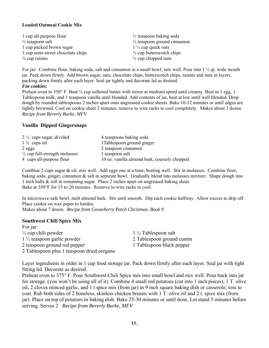#### **Loaded Oatmeal Cookie Mix**

| 1 cup all-purpose flour          | $\frac{1}{2}$ teaspoon baking soda     |
|----------------------------------|----------------------------------------|
| $\frac{1}{2}$ teaspoon salt      | $\frac{1}{2}$ teaspoon ground cinnamon |
| 1 cup packed brown sugar         | $1\frac{1}{2}$ cup quick oats          |
| 1 cup semi-sweet chocolate chips | $\frac{1}{2}$ cup butters cotch chips  |
| $\frac{3}{4}$ cup raisins        | $\frac{1}{2}$ cup chopped nuts         |

For jar: Combine flour, baking soda, salt and cinnamon in a small bowl; mix well. Pour into 1 ½ qt. wide mouth jar. Pack down firmly. Add brown sugar, oats, chocolate chips, butterscotch chips, raisins and nuts in layers, packing down firmly after each layer. Seal jar tightly and decorate lid as desired. *For cookies:* 

Preheat oven to 350° F. Beat ¼ cup softened butter with mixer at medium speed until creamy. Beat in 1 egg, 1 Tablespoon milk, and 1 teaspoon vanilla until blended. Add contents of jar, beat at low until well blended. Drop dough by rounded tablespoons 2 inches apart onto ungreased cookie sheets. Bake 10-12 minutes or until edges are lightly browned. Cool on cookie sheet 2 minutes; remove to wire racks to cool completely. Makes about 3 dozen. *Recipe from Beverly Burke, MFV*

#### **Vanilla Dipped Gingersnaps**

| $2\frac{1}{2}$ cups sugar, divided       | 4 teaspoons baking soda                      |
|------------------------------------------|----------------------------------------------|
| $1\frac{1}{2}$ cups oil                  | 1 Tablespoon ground ginger                   |
| $2$ eggs                                 | 2 teaspoon cinnamon                          |
| $\frac{1}{2}$ cup full-strength molasses | 1 teaspoon salt                              |
| 4 cups all-purpose flour                 | 10 oz. vanilla almond bark, coarsely chopped |

Combine 2 cups sugar & oil, mix well. Add eggs one at a time, beating well. Stir in molasses. Combine flour, baking soda, ginger, cinnamon & salt in separate bowl. Gradually blend into molasses mixture. Shape dough into 1 inch balls & roll in remaining sugar. Place 2 inches apart on ungreased baking sheet. Bake at 350°F for 15 to 20 minutes. Remove to wire racks to cool.

In microwave-safe bowl, melt almond bark. Stir until smooth. Dip each cookie halfway. Allow excess to drip off. Place cookie on wax paper to harden.

Makes about 7 dozen. *Recipe from Gooseberry Patch Christmas, Book 9* 

#### **Southwest Chili Spice Mix**

| For jar:                                   |                                |
|--------------------------------------------|--------------------------------|
| $\frac{1}{2}$ cup chili powder             | $1\frac{1}{2}$ Tablespoon salt |
| $1\frac{1}{2}$ teaspoon garlic powder      | 2 Tablespoon ground cumin      |
| 2 teaspoon ground red pepper               | 1 Tablespoon black pepper      |
| 2 Tablespoon plus 1 teaspoon dried oregano |                                |

Layer ingredients in order in 1 cup food storage jar. Pack down firmly after each layer. Seal jar with tight fitting lid. Decorate as desired.

Preheat oven to 375° F. Pour Southwest Chili Spice mix into small bowl and mix well. Pour back into jar for storage. (you won't be using all of it). Combine 4 small red potatoes (cut into 1 inch pieces), 1 T. olive oil, 2 cloves minced garlic, and 1 t spice mix (from jar) in 9 inch square baking dish or casserole; toss to coat. Rub both sides of 2 boneless, skinless chicken breasts with 1 T. olive oil and 2 t. spice mix (from jar). Place on top of potatoes in baking dish. Bake 25-30 minutes or until done. Let stand 5 minutes before serving. Serves 2 *Recipe from Beverly Burke, MFV*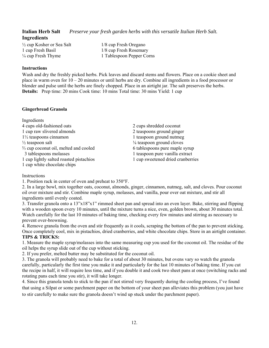**Italian Herb Salt** *Preserve your fresh garden herbs with this versatile Italian Herb Salt.*

 $\frac{1}{2}$  cup Kosher or Sea Salt  $\frac{1}{8}$  cup Fresh Oregano 1 cup Fresh Basil 1/8 cup Fresh Rosemary

 $\frac{1}{4}$  cup Fresh Thyme 1 Tablespoon Pepper Corns

#### **Instructions**

**Ingredients** 

Wash and dry the freshly picked herbs. Pick leaves and discard stems and flowers. Place on a cookie sheet and place in warm oven for 10 – 20 minutes or until herbs are dry. Combine all ingredients in a food processor or blender and pulse until the herbs are finely chopped. Place in an airtight jar. The salt preserves the herbs. **Details:** Prep time: 20 mins Cook time: 10 mins Total time: 30 mins Yield: 1 cup

#### **Gingerbread Granola**

Ingredients 4 cups old-fashioned oats 2 cups shredded coconut 1 cup raw slivered almonds 2 teaspoons ground ginger  $1\frac{1}{2}$  teaspoons cinnamon 1 teaspoon ground nutmeg  $\frac{1}{2}$  teaspoon salt  $\frac{1}{8}$  teaspoon ground cloves  $\frac{2}{3}$  cup coconut oil, melted and cooled 6 tablespoons pure maple syrup 3 tablespoons molasses 1 teaspoon pure vanilla extract 1 cup lightly salted roasted pistachios 1 cup sweetened dried cranberries 1 cup white chocolate chips

**Instructions** 

1. Position rack in center of oven and preheat to 350°F.

2. In a large bowl, mix together oats, coconut, almonds, ginger, cinnamon, nutmeg, salt, and cloves. Pour coconut oil over mixture and stir. Combine maple syrup, molasses, and vanilla, pour over oat mixture, and stir all ingredients until evenly coated.

3. Transfer granola onto a 13"x18"x1" rimmed sheet pan and spread into an even layer. Bake, stirring and flipping with a wooden spoon every 10 minutes, until the mixture turns a nice, even, golden brown, about 30 minutes total. Watch carefully for the last 10 minutes of baking time, checking every few minutes and stirring as necessary to prevent over-browning.

4. Remove granola from the oven and stir frequently as it cools, scraping the bottom of the pan to prevent sticking. Once completely cool, mix in pistachios, dried cranberries, and white chocolate chips. Store in an airtight container. **TIPS & TRICKS:** 

1. Measure the maple syrup/molasses into the same measuring cup you used for the coconut oil. The residue of the oil helps the syrup slide out of the cup without sticking.

2. If you prefer, melted butter may be substituted for the coconut oil.

3. The granola will probably need to bake for a total of about 30 minutes, but ovens vary so watch the granola carefully, particularly the first time you make it and particularly for the last 10 minutes of baking time. If you cut the recipe in half, it will require less time, and if you double it and cook two sheet pans at once (switching racks and rotating pans each time you stir), it will take longer.

4. Since this granola tends to stick to the pan if not stirred very frequently during the cooling process, I've found that using a Silpat or some parchment paper on the bottom of your sheet pan alleviates this problem (you just have to stir carefully to make sure the granola doesn't wind up stuck under the parchment paper).